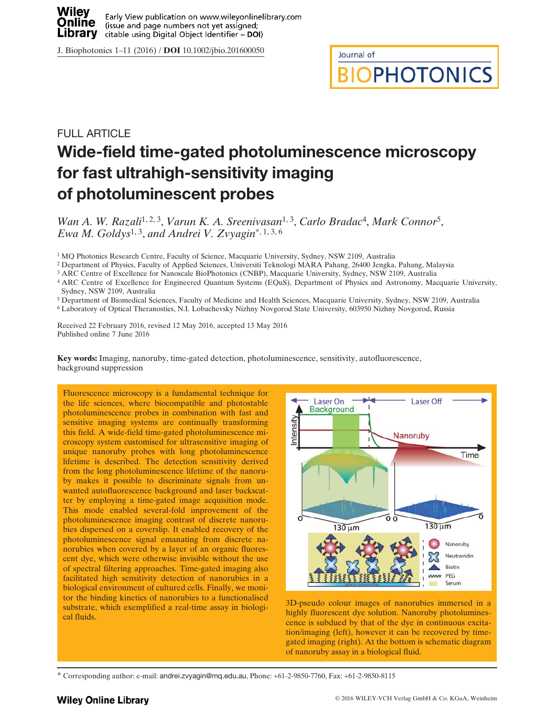

J. Biophotonics 1–11 (2016) / DOI 10.1002/jbio.201600050

Journal of

**BIOPHOTONICS** 

# FULL ARTICLE Wide-field time-gated photoluminescence microscopy for fast ultrahigh-sensitivity imaging of photoluminescent probes

Wan A. W. Razali<sup>1, 2, 3</sup>, Varun K. A. Sreenivasan<sup>1, 3</sup>, Carlo Bradac<sup>4</sup>, Mark Connor<sup>5</sup>, Ewa M. Goldys<sup>1, 3</sup>, and Andrei V. Zvyagin<sup>\*, 1, 3, 6</sup>

<sup>1</sup> MQ Photonics Research Centre, Faculty of Science, Macquarie University, Sydney, NSW 2109, Australia

<sup>2</sup> Department of Physics, Faculty of Applied Sciences, Universiti Teknologi MARA Pahang, 26400 Jengka, Pahang, Malaysia

<sup>3</sup> ARC Centre of Excellence for Nanoscale BioPhotonics (CNBP), Macquarie University, Sydney, NSW 2109, Australia

<sup>4</sup> ARC Centre of Excellence for Engineered Quantum Systems (EQuS), Department of Physics and Astronomy, Macquarie University, Sydney, NSW 2109, Australia

<sup>5</sup> Department of Biomedical Sciences, Faculty of Medicine and Health Sciences, Macquarie University, Sydney, NSW 2109, Australia

<sup>6</sup> Laboratory of Optical Theranostics, N.I. Lobachevsky Nizhny Novgorod State University, 603950 Nizhny Novgorod, Russia

Received 22 February 2016, revised 12 May 2016, accepted 13 May 2016 Published online 7 June 2016

Key words: Imaging, nanoruby, time-gated detection, photoluminescence, sensitivity, autofluorescence, background suppression

Fluorescence microscopy is a fundamental technique for the life sciences, where biocompatible and photostable photoluminescence probes in combination with fast and sensitive imaging systems are continually transforming this field. A wide-field time-gated photoluminescence microscopy system customised for ultrasensitive imaging of unique nanoruby probes with long photoluminescence lifetime is described. The detection sensitivity derived from the long photoluminescence lifetime of the nanoruby makes it possible to discriminate signals from unwanted autofluorescence background and laser backscatter by employing a time-gated image acquisition mode. This mode enabled several-fold improvement of the photoluminescence imaging contrast of discrete nanorubies dispersed on a coverslip. It enabled recovery of the photoluminescence signal emanating from discrete nanorubies when covered by a layer of an organic fluorescent dye, which were otherwise invisible without the use of spectral filtering approaches. Time-gated imaging also facilitated high sensitivity detection of nanorubies in a biological environment of cultured cells. Finally, we monitor the binding kinetics of nanorubies to a functionalised substrate, which exemplified a real-time assay in biological fluids.



3D-pseudo colour images of nanorubies immersed in a highly fluorescent dye solution. Nanoruby photoluminescence is subdued by that of the dye in continuous excitation/imaging (left), however it can be recovered by timegated imaging (right). At the bottom is schematic diagram of nanoruby assay in a biological fluid.

<sup>\*</sup> Corresponding author: e-mail: andrei.zvyagin@mq.edu.au, Phone: +61-2-9850-7760, Fax: +61-2-9850-8115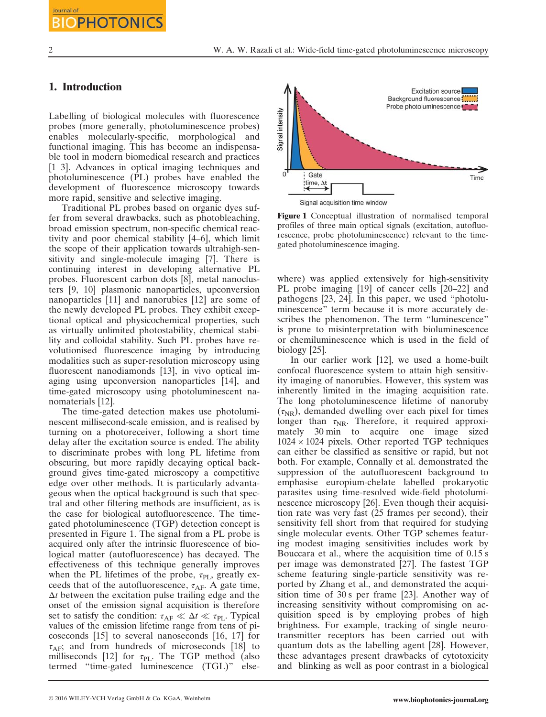Journal of

#### 1. Introduction

**OPHOTONICS** 

Labelling of biological molecules with fluorescence probes (more generally, photoluminescence probes) enables molecularly-specific, morphological and functional imaging. This has become an indispensable tool in modern biomedical research and practices [1–3]. Advances in optical imaging techniques and photoluminescence (PL) probes have enabled the development of fluorescence microscopy towards more rapid, sensitive and selective imaging.

Traditional PL probes based on organic dyes suffer from several drawbacks, such as photobleaching, broad emission spectrum, non-specific chemical reactivity and poor chemical stability [4–6], which limit the scope of their application towards ultrahigh-sensitivity and single-molecule imaging [7]. There is continuing interest in developing alternative PL probes. Fluorescent carbon dots [8], metal nanoclusters [9, 10] plasmonic nanoparticles, upconversion nanoparticles [11] and nanorubies [12] are some of the newly developed PL probes. They exhibit exceptional optical and physicochemical properties, such as virtually unlimited photostability, chemical stability and colloidal stability. Such PL probes have revolutionised fluorescence imaging by introducing modalities such as super-resolution microscopy using fluorescent nanodiamonds [13], in vivo optical imaging using upconversion nanoparticles [14], and time-gated microscopy using photoluminescent nanomaterials [12].

The time-gated detection makes use photoluminescent millisecond-scale emission, and is realised by turning on a photoreceiver, following a short time delay after the excitation source is ended. The ability to discriminate probes with long PL lifetime from obscuring, but more rapidly decaying optical background gives time-gated microscopy a competitive edge over other methods. It is particularly advantageous when the optical background is such that spectral and other filtering methods are insufficient, as is the case for biological autofluorescence. The timegated photoluminescence (TGP) detection concept is presented in Figure 1. The signal from a PL probe is acquired only after the intrinsic fluorescence of biological matter (autofluorescence) has decayed. The effectiveness of this technique generally improves when the PL lifetimes of the probe,  $\tau_{\text{PI}}$ , greatly exceeds that of the autofluorescence,  $\tau_{AF}$ . A gate time,  $\Delta t$  between the excitation pulse trailing edge and the onset of the emission signal acquisition is therefore set to satisfy the condition:  $\tau_{AF} \ll \Delta t \ll \tau_{PL}$ . Typical values of the emission lifetime range from tens of picoseconds [15] to several nanoseconds [16, 17] for  $\tau_{AF}$ ; and from hundreds of microseconds [18] to milliseconds [12] for  $\tau_{PL}$ . The TGP method (also termed "time-gated luminescence (TGL)" else-



Figure 1 Conceptual illustration of normalised temporal profiles of three main optical signals (excitation, autofluorescence, probe photoluminescence) relevant to the timegated photoluminescence imaging.

where) was applied extensively for high-sensitivity PL probe imaging [19] of cancer cells [20–22] and pathogens [23, 24]. In this paper, we used "photoluminescence" term because it is more accurately describes the phenomenon. The term "luminescence" is prone to misinterpretation with bioluminescence or chemiluminescence which is used in the field of biology [25].

In our earlier work [12], we used a home-built confocal fluorescence system to attain high sensitivity imaging of nanorubies. However, this system was inherently limited in the imaging acquisition rate. The long photoluminescence lifetime of nanoruby  $(\tau_{NR})$ , demanded dwelling over each pixel for times longer than  $\tau_{\text{NR}}$ . Therefore, it required approximately 30 min to acquire one image sized  $1024 \times 1024$  pixels. Other reported TGP techniques can either be classified as sensitive or rapid, but not both. For example, Connally et al. demonstrated the suppression of the autofluorescent background to emphasise europium-chelate labelled prokaryotic parasites using time-resolved wide-field photoluminescence microscopy [26]. Even though their acquisition rate was very fast (25 frames per second), their sensitivity fell short from that required for studying single molecular events. Other TGP schemes featuring modest imaging sensitivities includes work by Bouccara et al., where the acquisition time of 0.15 s per image was demonstrated [27]. The fastest TGP scheme featuring single-particle sensitivity was reported by Zhang et al., and demonstrated the acquisition time of 30 s per frame [23]. Another way of increasing sensitivity without compromising on acquisition speed is by employing probes of high brightness. For example, tracking of single neurotransmitter receptors has been carried out with quantum dots as the labelling agent [28]. However, these advantages present drawbacks of cytotoxicity and blinking as well as poor contrast in a biological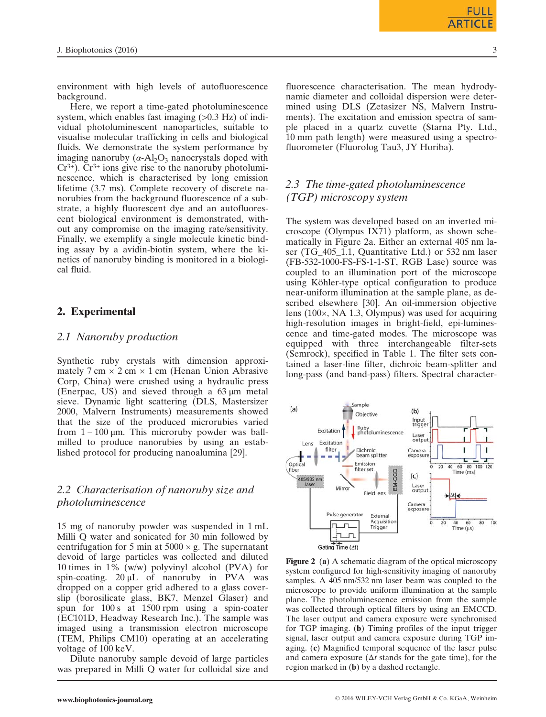environment with high levels of autofluorescence background.

Here, we report a time-gated photoluminescence system, which enables fast imaging  $(>0.3 \text{ Hz})$  of individual photoluminescent nanoparticles, suitable to visualise molecular trafficking in cells and biological fluids. We demonstrate the system performance by imaging nanoruby  $(\alpha - Al_2O_3)$  nanocrystals doped with  $Cr^{3+}$ ).  $Cr^{3+}$  ions give rise to the nanoruby photoluminescence, which is characterised by long emission lifetime (3.7 ms). Complete recovery of discrete nanorubies from the background fluorescence of a substrate, a highly fluorescent dye and an autofluorescent biological environment is demonstrated, without any compromise on the imaging rate/sensitivity. Finally, we exemplify a single molecule kinetic binding assay by a avidin-biotin system, where the kinetics of nanoruby binding is monitored in a biological fluid.

# 2. Experimental

#### 2.1 Nanoruby production

Synthetic ruby crystals with dimension approximately  $7 \text{ cm} \times 2 \text{ cm} \times 1 \text{ cm}$  (Henan Union Abrasive Corp, China) were crushed using a hydraulic press (Enerpac, US) and sieved through a 63 μm metal sieve. Dynamic light scattering (DLS, Mastersizer 2000, Malvern Instruments) measurements showed that the size of the produced microrubies varied from  $1 - 100 \mu m$ . This microruby powder was ballmilled to produce nanorubies by using an established protocol for producing nanoalumina [29].

# 2.2 Characterisation of nanoruby size and photoluminescence

15 mg of nanoruby powder was suspended in 1 mL Milli Q water and sonicated for 30 min followed by centrifugation for 5 min at  $5000 \times g$ . The supernatant devoid of large particles was collected and diluted 10 times in 1% (w/w) polyvinyl alcohol (PVA) for spin-coating.  $20 \mu L$  of nanoruby in PVA was dropped on a copper grid adhered to a glass coverslip (borosilicate glass, BK7, Menzel Glaser) and spun for 100 s at 1500 rpm using a spin-coater (EC101D, Headway Research Inc.). The sample was imaged using a transmission electron microscope (TEM, Philips CM10) operating at an accelerating voltage of 100 keV.

Dilute nanoruby sample devoid of large particles was prepared in Milli Q water for colloidal size and fluorescence characterisation. The mean hydrodynamic diameter and colloidal dispersion were determined using DLS (Zetasizer NS, Malvern Instruments). The excitation and emission spectra of sample placed in a quartz cuvette (Starna Pty. Ltd., 10 mm path length) were measured using a spectrofluorometer (Fluorolog Tau3, JY Horiba).

# 2.3 The time-gated photoluminescence (TGP) microscopy system

The system was developed based on an inverted microscope (Olympus IX71) platform, as shown schematically in Figure 2a. Either an external 405 nm laser (TG\_405\_1.1, Quantitative Ltd.) or 532 nm laser (FB-532-1000-FS-FS-1-1-ST, RGB Lase) source was coupled to an illumination port of the microscope using Köhler-type optical configuration to produce near-uniform illumination at the sample plane, as described elsewhere [30]. An oil-immersion objective lens (100×, NA 1.3, Olympus) was used for acquiring high-resolution images in bright-field, epi-luminescence and time-gated modes. The microscope was equipped with three interchangeable filter-sets (Semrock), specified in Table 1. The filter sets contained a laser-line filter, dichroic beam-splitter and long-pass (and band-pass) filters. Spectral character-



Figure 2 (a) A schematic diagram of the optical microscopy system configured for high-sensitivity imaging of nanoruby samples. A 405 nm/532 nm laser beam was coupled to the microscope to provide uniform illumination at the sample plane. The photoluminescence emission from the sample was collected through optical filters by using an EMCCD. The laser output and camera exposure were synchronised for TGP imaging. (b) Timing profiles of the input trigger signal, laser output and camera exposure during TGP imaging. (c) Magnified temporal sequence of the laser pulse and camera exposure ( $\Delta t$  stands for the gate time), for the region marked in (b) by a dashed rectangle.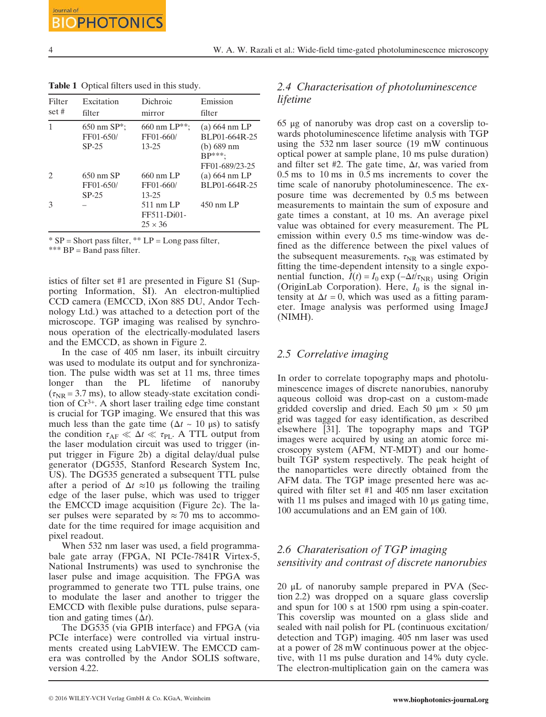Filter set # Excitation filter Dichroic mirror Emission filter 1 650 nm SP\*; FF01-650/ SP-25 660 nm LP\*\*; FF01-660/ 13-25 (a) 664 nm LP BLP01-664R-25 (b) 689 nm BP\*\*\*; FF01-689/23-25 2 650 nm SP FF01-650/ SP-25 660 nm LP FF01-660/ 13-25 (a) 664 nm LP BLP01-664R-25 3 – 511 nm LP FF511-Di01-  $25 \times 36$ 450 nm LP

Table 1 Optical filters used in this study.

 $*$  SP = Short pass filter,  $**$  LP = Long pass filter,

\*\*\* BP = Band pass filter.

istics of filter set #1 are presented in Figure S1 (Supporting Information, SI). An electron-multiplied CCD camera (EMCCD, iXon 885 DU, Andor Technology Ltd.) was attached to a detection port of the microscope. TGP imaging was realised by synchronous operation of the electrically-modulated lasers and the EMCCD, as shown in Figure 2.

In the case of 405 nm laser, its inbuilt circuitry was used to modulate its output and for synchronization. The pulse width was set at 11 ms, three times longer than the PL lifetime of nanoruby  $(\tau_{\rm NR} = 3.7 \text{ ms})$ , to allow steady-state excitation condition of Cr3+. A short laser trailing edge time constant is crucial for TGP imaging. We ensured that this was much less than the gate time ( $\Delta t \sim 10 \,\mu s$ ) to satisfy the condition  $\tau_{AF} \ll \Delta t \ll \tau_{PL}$ . A TTL output from the laser modulation circuit was used to trigger (input trigger in Figure 2b) a digital delay/dual pulse generator (DG535, Stanford Research System Inc, US). The DG535 generated a subsequent TTL pulse after a period of  $\Delta t \approx 10$  μs following the trailing edge of the laser pulse, which was used to trigger the EMCCD image acquisition (Figure 2c). The laser pulses were separated by  $\approx$  70 ms to accommodate for the time required for image acquisition and pixel readout.

When 532 nm laser was used, a field programmabale gate array (FPGA, NI PCIe-7841R Virtex-5, National Instruments) was used to synchronise the laser pulse and image acquisition. The FPGA was programmed to generate two TTL pulse trains, one to modulate the laser and another to trigger the EMCCD with flexible pulse durations, pulse separation and gating times  $(\Delta t)$ .

The DG535 (via GPIB interface) and FPGA (via PCIe interface) were controlled via virtual instruments created using LabVIEW. The EMCCD camera was controlled by the Andor SOLIS software, version 4.22.

## 2.4 Characterisation of photoluminescence lifetime

65 μg of nanoruby was drop cast on a coverslip towards photoluminescence lifetime analysis with TGP using the 532 nm laser source (19 mW continuous optical power at sample plane, 10 ms pulse duration) and filter set #2. The gate time,  $\Delta t$ , was varied from 0.5 ms to 10 ms in 0.5 ms increments to cover the time scale of nanoruby photoluminescence. The exposure time was decremented by 0.5 ms between measurements to maintain the sum of exposure and gate times a constant, at 10 ms. An average pixel value was obtained for every measurement. The PL emission within every 0.5 ms time-window was defined as the difference between the pixel values of the subsequent measurements.  $\tau_{NR}$  was estimated by fitting the time-dependent intensity to a single exponential function,  $I(t) = I_0 \exp(-\Delta t/\tau_{NR})$  using Origin (OriginLab Corporation). Here,  $I_0$  is the signal intensity at  $\Delta t = 0$ , which was used as a fitting parameter. Image analysis was performed using ImageJ (NIMH).

#### 2.5 Correlative imaging

In order to correlate topography maps and photoluminescence images of discrete nanorubies, nanoruby aqueous colloid was drop-cast on a custom-made gridded coverslip and dried. Each 50  $\mu$ m  $\times$  50  $\mu$ m grid was tagged for easy identification, as described elsewhere [31]. The topography maps and TGP images were acquired by using an atomic force microscopy system (AFM, NT-MDT) and our homebuilt TGP system respectively. The peak height of the nanoparticles were directly obtained from the AFM data. The TGP image presented here was acquired with filter set #1 and 405 nm laser excitation with 11 ms pulses and imaged with 10 μs gating time, 100 accumulations and an EM gain of 100.

#### 2.6 Charaterisation of TGP imaging sensitivity and contrast of discrete nanorubies

20 μL of nanoruby sample prepared in PVA (Section 2.2) was dropped on a square glass coverslip and spun for 100 s at 1500 rpm using a spin-coater. This coverslip was mounted on a glass slide and sealed with nail polish for PL (continuous excitation/ detection and TGP) imaging. 405 nm laser was used at a power of 28 mW continuous power at the objective, with 11 ms pulse duration and 14% duty cycle. The electron-multiplication gain on the camera was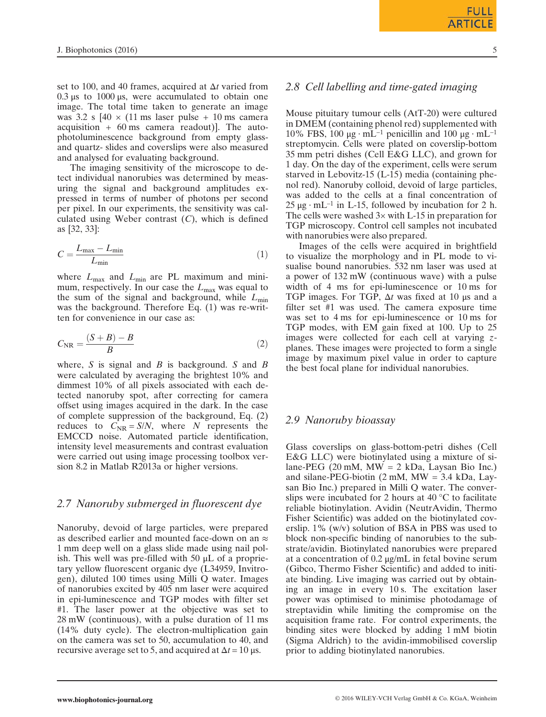set to 100, and 40 frames, acquired at  $\Delta t$  varied from  $0.3 \mu s$  to 1000 μs, were accumulated to obtain one image. The total time taken to generate an image was 3.2 s  $[40 \times (11 \text{ ms} \text{ laser} \text{ pulse} + 10 \text{ ms} \text{ camera}$ acquisition + 60 ms camera readout)]. The autophotoluminescence background from empty glassand quartz- slides and coverslips were also measured and analysed for evaluating background.

The imaging sensitivity of the microscope to detect individual nanorubies was determined by measuring the signal and background amplitudes expressed in terms of number of photons per second per pixel. In our experiments, the sensitivity was calculated using Weber contrast  $(C)$ , which is defined as [32, 33]:

$$
C = \frac{L_{\text{max}} - L_{\text{min}}}{L_{\text{min}}} \tag{1}
$$

where  $L_{\text{max}}$  and  $L_{\text{min}}$  are PL maximum and minimum, respectively. In our case the  $L_{\text{max}}$  was equal to the sum of the signal and background, while  $L_{\text{min}}$ was the background. Therefore Eq. (1) was re-written for convenience in our case as:

$$
C_{\rm NR} = \frac{(S+B)-B}{B} \tag{2}
$$

where, S is signal and B is background. S and B were calculated by averaging the brightest 10% and dimmest 10% of all pixels associated with each detected nanoruby spot, after correcting for camera offset using images acquired in the dark. In the case of complete suppression of the background, Eq. (2) reduces to  $C_{\text{NR}} = S/N$ , where N represents the EMCCD noise. Automated particle identification, intensity level measurements and contrast evaluation were carried out using image processing toolbox version 8.2 in Matlab R2013a or higher versions.

#### 2.7 Nanoruby submerged in fluorescent dye

Nanoruby, devoid of large particles, were prepared as described earlier and mounted face-down on an  $\approx$ 1 mm deep well on a glass slide made using nail polish. This well was pre-filled with 50  $\mu$ L of a proprietary yellow fluorescent organic dye (L34959, Invitrogen), diluted 100 times using Milli Q water. Images of nanorubies excited by 405 nm laser were acquired in epi-luminescence and TGP modes with filter set #1. The laser power at the objective was set to 28 mW (continuous), with a pulse duration of 11 ms (14% duty cycle). The electron-multiplication gain on the camera was set to 50, accumulation to 40, and recursive average set to 5, and acquired at  $\Delta t = 10 \,\mu s$ .

#### 2.8 Cell labelling and time-gated imaging

Mouse pituitary tumour cells (AtT-20) were cultured in DMEM (containing phenol red) supplemented with 10% FBS, 100 μg ⋅ mL<sup>-1</sup> penicillin and 100 μg ⋅ mL<sup>-1</sup> streptomycin. Cells were plated on coverslip-bottom 35 mm petri dishes (Cell E&G LLC), and grown for 1 day. On the day of the experiment, cells were serum starved in Lebovitz-15 (L-15) media (containing phenol red). Nanoruby colloid, devoid of large particles, was added to the cells at a final concentration of  $25 \mu$ g ⋅ mL<sup>-1</sup> in L-15, followed by incubation for 2 h. The cells were washed  $3\times$  with L-15 in preparation for TGP microscopy. Control cell samples not incubated with nanorubies were also prepared.

Images of the cells were acquired in brightfield to visualize the morphology and in PL mode to visualise bound nanorubies. 532 nm laser was used at a power of 132 mW (continuous wave) with a pulse width of 4 ms for epi-luminescence or 10 ms for TGP images. For TGP,  $\Delta t$  was fixed at 10 μs and a filter set #1 was used. The camera exposure time was set to 4 ms for epi-luminescence or 10 ms for TGP modes, with EM gain fixed at 100. Up to 25 images were collected for each cell at varying  $z$ planes. These images were projected to form a single image by maximum pixel value in order to capture the best focal plane for individual nanorubies.

#### 2.9 Nanoruby bioassay

Glass coverslips on glass-bottom-petri dishes (Cell E&G LLC) were biotinylated using a mixture of silane-PEG (20 mM, MW = 2 kDa, Laysan Bio Inc.) and silane-PEG-biotin (2 mM, MW = 3.4 kDa, Laysan Bio Inc.) prepared in Milli Q water. The converslips were incubated for 2 hours at 40 °C to facilitate reliable biotinylation. Avidin (NeutrAvidin, Thermo Fisher Scientific) was added on the biotinylated coverslip. 1% (w/v) solution of BSA in PBS was used to block non-specific binding of nanorubies to the substrate/avidin. Biotinylated nanorubies were prepared at a concentration of 0.2 μg/mL in fetal bovine serum (Gibco, Thermo Fisher Scientific) and added to initiate binding. Live imaging was carried out by obtaining an image in every 10 s. The excitation laser power was optimised to minimise photodamage of streptavidin while limiting the compromise on the acquisition frame rate. For control experiments, the binding sites were blocked by adding 1 mM biotin (Sigma Aldrich) to the avidin-immobilised coverslip prior to adding biotinylated nanorubies.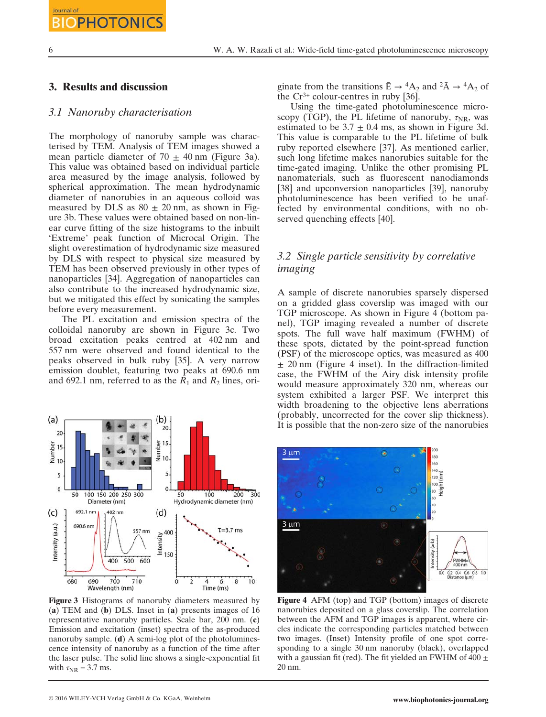#### 3. Results and discussion

#### 3.1 Nanoruby characterisation

The morphology of nanoruby sample was characterised by TEM. Analysis of TEM images showed a mean particle diameter of  $70 \pm 40$  nm (Figure 3a). This value was obtained based on individual particle area measured by the image analysis, followed by spherical approximation. The mean hydrodynamic diameter of nanorubies in an aqueous colloid was measured by DLS as  $80 + 20$  nm, as shown in Figure 3b. These values were obtained based on non-linear curve fitting of the size histograms to the inbuilt 'Extreme' peak function of Microcal Origin. The slight overestimation of hydrodynamic size measured by DLS with respect to physical size measured by TEM has been observed previously in other types of nanoparticles [34]. Aggregation of nanoparticles can also contribute to the increased hydrodynamic size, but we mitigated this effect by sonicating the samples before every measurement.

The PL excitation and emission spectra of the colloidal nanoruby are shown in Figure 3c. Two broad excitation peaks centred at 402 nm and 557 nm were observed and found identical to the peaks observed in bulk ruby [35]. A very narrow emission doublet, featuring two peaks at 690.6 nm and 692.1 nm, referred to as the  $R_1$  and  $R_2$  lines, ori-



Figure 3 Histograms of nanoruby diameters measured by (a) TEM and (b) DLS. Inset in (a) presents images of 16 representative nanoruby particles. Scale bar, 200 nm. (c) Emission and excitation (inset) spectra of the as-produced nanoruby sample. (d) A semi-log plot of the photoluminescence intensity of nanoruby as a function of the time after the laser pulse. The solid line shows a single-exponential fit with  $\tau_{\text{NR}} = 3.7$  ms.

ginate from the transitions  $\bar{E} \rightarrow {}^4A_2$  and  ${}^2\bar{A} \rightarrow {}^4A_2$  of the  $Cr^{3+}$  colour-centres in ruby [36].

Using the time-gated photoluminescence microscopy (TGP), the PL lifetime of nanoruby,  $\tau_{\text{NR}}$ , was estimated to be  $3.7 \pm 0.4$  ms, as shown in Figure 3d. This value is comparable to the PL lifetime of bulk ruby reported elsewhere [37]. As mentioned earlier, such long lifetime makes nanorubies suitable for the time-gated imaging. Unlike the other promising PL nanomaterials, such as fluorescent nanodiamonds [38] and upconversion nanoparticles [39], nanoruby photoluminescence has been verified to be unaffected by environmental conditions, with no observed quenching effects [40].

# 3.2 Single particle sensitivity by correlative imaging

A sample of discrete nanorubies sparsely dispersed on a gridded glass coverslip was imaged with our TGP microscope. As shown in Figure 4 (bottom panel), TGP imaging revealed a number of discrete spots. The full wave half maximum (FWHM) of these spots, dictated by the point-spread function (PSF) of the microscope optics, was measured as 400  $\pm$  20 nm (Figure 4 inset). In the diffraction-limited case, the FWHM of the Airy disk intensity profile would measure approximately 320 nm, whereas our system exhibited a larger PSF. We interpret this width broadening to the objective lens aberrations (probably, uncorrected for the cover slip thickness). It is possible that the non-zero size of the nanorubies



Figure 4 AFM (top) and TGP (bottom) images of discrete nanorubies deposited on a glass coverslip. The correlation between the AFM and TGP images is apparent, where circles indicate the corresponding particles matched between two images. (Inset) Intensity profile of one spot corresponding to a single 30 nm nanoruby (black), overlapped with a gaussian fit (red). The fit yielded an FWHM of 400  $\pm$ 20 nm.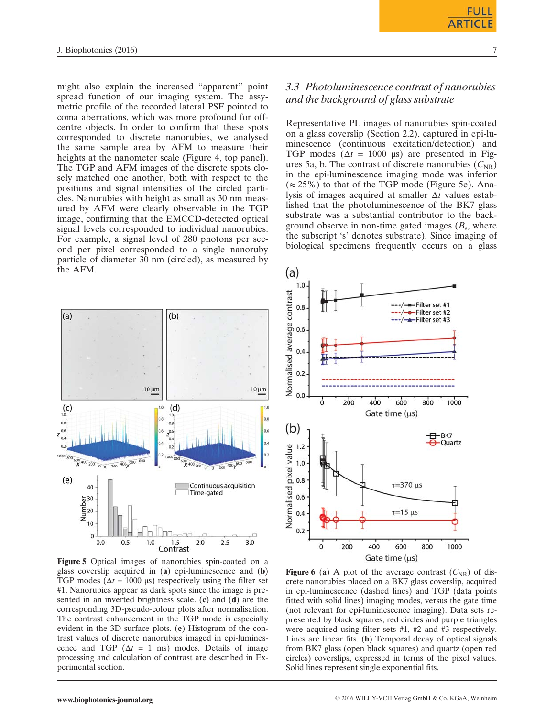might also explain the increased "apparent" point spread function of our imaging system. The assymetric profile of the recorded lateral PSF pointed to coma aberrations, which was more profound for offcentre objects. In order to confirm that these spots corresponded to discrete nanorubies, we analysed the same sample area by AFM to measure their heights at the nanometer scale (Figure 4, top panel). The TGP and AFM images of the discrete spots closely matched one another, both with respect to the positions and signal intensities of the circled particles. Nanorubies with height as small as 30 nm measured by AFM were clearly observable in the TGP image, confirming that the EMCCD-detected optical signal levels corresponded to individual nanorubies. For example, a signal level of 280 photons per second per pixel corresponded to a single nanoruby particle of diameter 30 nm (circled), as measured by the AFM.



Figure 5 Optical images of nanorubies spin-coated on a glass coverslip acquired in (a) epi-luminescence and (b) TGP modes ( $\Delta t = 1000 \,\mu s$ ) respectively using the filter set #1. Nanorubies appear as dark spots since the image is presented in an inverted brightness scale. (c) and (d) are the corresponding 3D-pseudo-colour plots after normalisation. The contrast enhancement in the TGP mode is especially evident in the 3D surface plots. (e) Histogram of the contrast values of discrete nanorubies imaged in epi-luminescence and TGP ( $\Delta t = 1$  ms) modes. Details of image processing and calculation of contrast are described in Experimental section.

# 3.3 Photoluminescence contrast of nanorubies and the background of glass substrate

Representative PL images of nanorubies spin-coated on a glass coverslip (Section 2.2), captured in epi-luminescence (continuous excitation/detection) and TGP modes ( $\Delta t = 1000$  μs) are presented in Figures 5a, b. The contrast of discrete nanorubies  $(C_{NR})$ in the epi-luminescence imaging mode was inferior  $(\approx 25\%)$  to that of the TGP mode (Figure 5e). Analysis of images acquired at smaller  $\Delta t$  values established that the photoluminescence of the BK7 glass substrate was a substantial contributor to the background observe in non-time gated images  $(B_s,$  where the subscript 's' denotes substrate). Since imaging of biological specimens frequently occurs on a glass



**Figure 6** (a) A plot of the average contrast  $(C_{NR})$  of discrete nanorubies placed on a BK7 glass coverslip, acquired in epi-luminescence (dashed lines) and TGP (data points fitted with solid lines) imaging modes, versus the gate time (not relevant for epi-luminescence imaging). Data sets represented by black squares, red circles and purple triangles were acquired using filter sets #1, #2 and #3 respectively. Lines are linear fits. (b) Temporal decay of optical signals from BK7 glass (open black squares) and quartz (open red circles) coverslips, expressed in terms of the pixel values. Solid lines represent single exponential fits.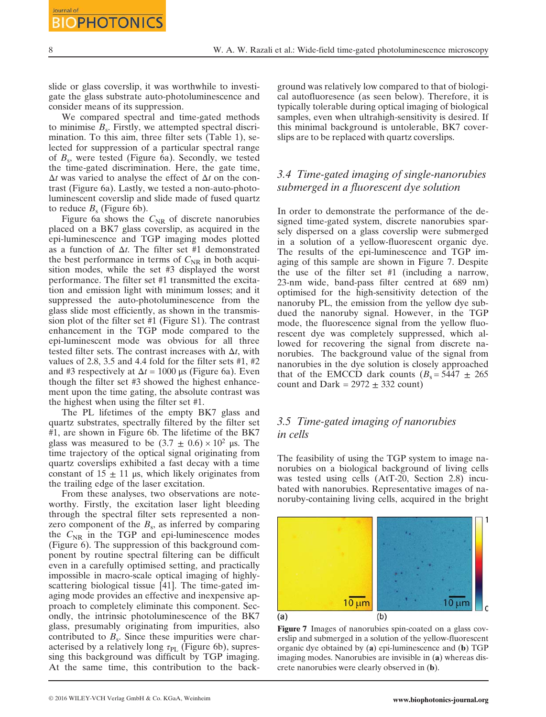slide or glass coverslip, it was worthwhile to investigate the glass substrate auto-photoluminescence and consider means of its suppression.

We compared spectral and time-gated methods to minimise  $B_s$ . Firstly, we attempted spectral discrimination. To this aim, three filter sets (Table 1), selected for suppression of a particular spectral range of  $B_s$ , were tested (Figure 6a). Secondly, we tested the time-gated discrimination. Here, the gate time,  $\Delta t$  was varied to analyse the effect of  $\Delta t$  on the contrast (Figure 6a). Lastly, we tested a non-auto-photoluminescent coverslip and slide made of fused quartz to reduce  $B_s$  (Figure 6b).

Figure 6a shows the  $C_{NR}$  of discrete nanorubies placed on a BK7 glass coverslip, as acquired in the epi-luminescence and TGP imaging modes plotted as a function of  $\Delta t$ . The filter set #1 demonstrated the best performance in terms of  $C_{\text{NR}}$  in both acquisition modes, while the set #3 displayed the worst performance. The filter set #1 transmitted the excitation and emission light with minimum losses; and it suppressed the auto-photoluminescence from the glass slide most efficiently, as shown in the transmission plot of the filter set #1 (Figure S1). The contrast enhancement in the TGP mode compared to the epi-luminescent mode was obvious for all three tested filter sets. The contrast increases with  $\Delta t$ , with values of 2.8, 3.5 and 4.4 fold for the filter sets #1, #2 and #3 respectively at  $\Delta t = 1000 \,\mu s$  (Figure 6a). Even though the filter set #3 showed the highest enhancement upon the time gating, the absolute contrast was the highest when using the filter set #1.

The PL lifetimes of the empty BK7 glass and quartz substrates, spectrally filtered by the filter set #1, are shown in Figure 6b. The lifetime of the BK7 glass was measured to be  $(3.7 \pm 0.6) \times 10^2$  µs. The time trajectory of the optical signal originating from quartz coverslips exhibited a fast decay with a time constant of  $15 \pm 11$  μs, which likely originates from the trailing edge of the laser excitation.

From these analyses, two observations are noteworthy. Firstly, the excitation laser light bleeding through the spectral filter sets represented a nonzero component of the  $B_s$ , as inferred by comparing the  $C_{\text{NR}}$  in the TGP and epi-luminescence modes (Figure 6). The suppression of this background component by routine spectral filtering can be difficult even in a carefully optimised setting, and practically impossible in macro-scale optical imaging of highlyscattering biological tissue [41]. The time-gated imaging mode provides an effective and inexpensive approach to completely eliminate this component. Secondly, the intrinsic photoluminescence of the BK7 glass, presumably originating from impurities, also contributed to  $B_s$ . Since these impurities were characterised by a relatively long  $\tau_{\text{PL}}$  (Figure 6b), supressing this background was difficult by TGP imaging. At the same time, this contribution to the background was relatively low compared to that of biological autofluoresence (as seen below). Therefore, it is typically tolerable during optical imaging of biological samples, even when ultrahigh-sensitivity is desired. If this minimal background is untolerable, BK7 coverslips are to be replaced with quartz coverslips.

# 3.4 Time-gated imaging of single-nanorubies submerged in a fluorescent dye solution

In order to demonstrate the performance of the designed time-gated system, discrete nanorubies sparsely dispersed on a glass coverslip were submerged in a solution of a yellow-fluorescent organic dye. The results of the epi-luminescence and TGP imaging of this sample are shown in Figure 7. Despite the use of the filter set #1 (including a narrow, 23-nm wide, band-pass filter centred at 689 nm) optimised for the high-sensitivity detection of the nanoruby PL, the emission from the yellow dye subdued the nanoruby signal. However, in the TGP mode, the fluorescence signal from the yellow fluorescent dye was completely suppressed, which allowed for recovering the signal from discrete nanorubies. The background value of the signal from nanorubies in the dye solution is closely approached that of the EMCCD dark counts  $(B_s = 5447 \pm 265$ count and Dark =  $2972 \pm 332$  count)

## 3.5 Time-gated imaging of nanorubies in cells

The feasibility of using the TGP system to image nanorubies on a biological background of living cells was tested using cells (AtT-20, Section 2.8) incubated with nanorubies. Representative images of nanoruby-containing living cells, acquired in the bright



Figure 7 Images of nanorubies spin-coated on a glass coverslip and submerged in a solution of the yellow-fluorescent organic dye obtained by (a) epi-luminescence and (b) TGP imaging modes. Nanorubies are invisible in (a) whereas discrete nanorubies were clearly observed in (b).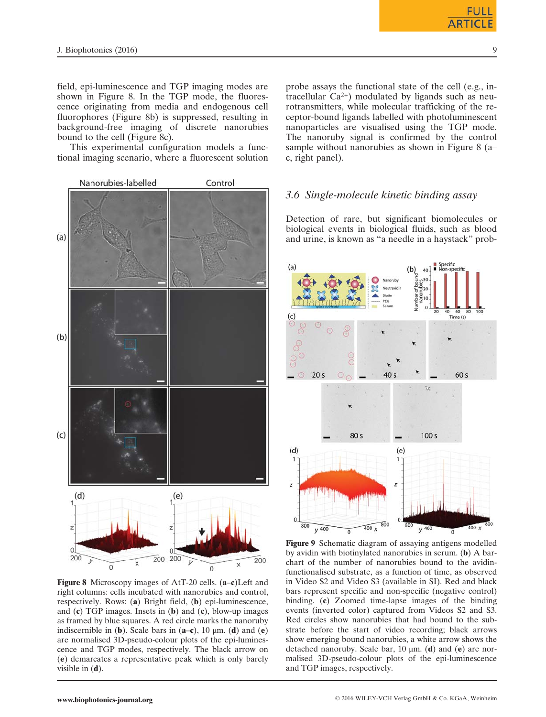field, epi-luminescence and TGP imaging modes are shown in Figure 8. In the TGP mode, the fluorescence originating from media and endogenous cell fluorophores (Figure 8b) is suppressed, resulting in background-free imaging of discrete nanorubies bound to the cell (Figure 8c).

This experimental configuration models a functional imaging scenario, where a fluorescent solution



Figure 8 Microscopy images of AtT-20 cells. (a–c)Left and right columns: cells incubated with nanorubies and control, respectively. Rows: (a) Bright field, (b) epi-luminescence, and  $(c)$  TGP images. Insets in  $(b)$  and  $(c)$ , blow-up images as framed by blue squares. A red circle marks the nanoruby indiscernible in (b). Scale bars in  $(a-c)$ , 10  $\mu$ m. (d) and (e) are normalised 3D-pseudo-colour plots of the epi-luminescence and TGP modes, respectively. The black arrow on (e) demarcates a representative peak which is only barely visible in  $(d)$ .

probe assays the functional state of the cell (e.g., intracellular  $Ca^{2+}$ ) modulated by ligands such as neurotransmitters, while molecular trafficking of the receptor-bound ligands labelled with photoluminescent nanoparticles are visualised using the TGP mode. The nanoruby signal is confirmed by the control sample without nanorubies as shown in Figure 8 (a– c, right panel).

#### 3.6 Single-molecule kinetic binding assay

Detection of rare, but significant biomolecules or biological events in biological fluids, such as blood and urine, is known as "a needle in a haystack" prob-



Figure 9 Schematic diagram of assaying antigens modelled by avidin with biotinylated nanorubies in serum. (b) A barchart of the number of nanorubies bound to the avidinfunctionalised substrate, as a function of time, as observed in Video S2 and Video S3 (available in SI). Red and black bars represent specific and non-specific (negative control) binding. (c) Zoomed time-lapse images of the binding events (inverted color) captured from Videos S2 and S3. Red circles show nanorubies that had bound to the substrate before the start of video recording; black arrows show emerging bound nanorubies, a white arrow shows the detached nanoruby. Scale bar, 10  $\mu$ m. (d) and (e) are normalised 3D-pseudo-colour plots of the epi-luminescence and TGP images, respectively.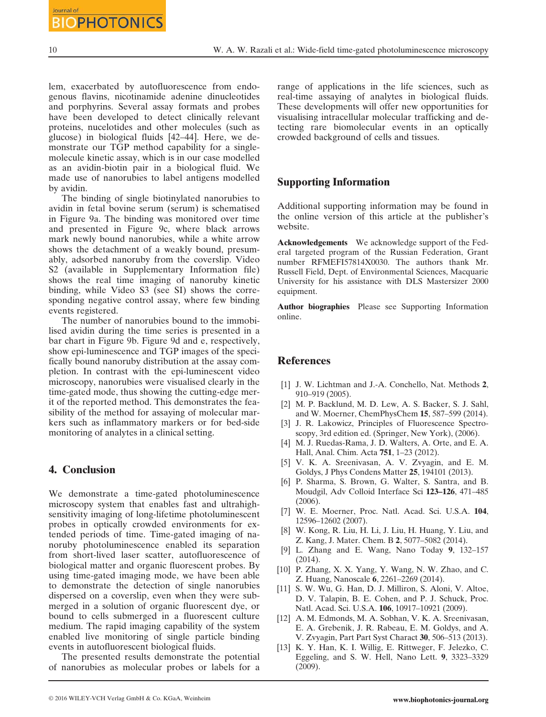lem, exacerbated by autofluorescence from endogenous flavins, nicotinamide adenine dinucleotides and porphyrins. Several assay formats and probes have been developed to detect clinically relevant proteins, nucelotides and other molecules (such as glucose) in biological fluids [42–44]. Here, we demonstrate our TGP method capability for a singlemolecule kinetic assay, which is in our case modelled as an avidin-biotin pair in a biological fluid. We made use of nanorubies to label antigens modelled by avidin.

The binding of single biotinylated nanorubies to avidin in fetal bovine serum (serum) is schematised in Figure 9a. The binding was monitored over time and presented in Figure 9c, where black arrows mark newly bound nanorubies, while a white arrow shows the detachment of a weakly bound, presumably, adsorbed nanoruby from the coverslip. Video S2 (available in Supplementary Information file) shows the real time imaging of nanoruby kinetic binding, while Video S3 (see SI) shows the corresponding negative control assay, where few binding events registered.

The number of nanorubies bound to the immobilised avidin during the time series is presented in a bar chart in Figure 9b. Figure 9d and e, respectively, show epi-luminescence and TGP images of the specifically bound nanoruby distribution at the assay completion. In contrast with the epi-luminescent video microscopy, nanorubies were visualised clearly in the time-gated mode, thus showing the cutting-edge merit of the reported method. This demonstrates the feasibility of the method for assaying of molecular markers such as inflammatory markers or for bed-side monitoring of analytes in a clinical setting.

#### 4. Conclusion

We demonstrate a time-gated photoluminescence microscopy system that enables fast and ultrahighsensitivity imaging of long-lifetime photoluminescent probes in optically crowded environments for extended periods of time. Time-gated imaging of nanoruby photoluminescence enabled its separation from short-lived laser scatter, autofluorescence of biological matter and organic fluorescent probes. By using time-gated imaging mode, we have been able to demonstrate the detection of single nanorubies dispersed on a coverslip, even when they were submerged in a solution of organic fluorescent dye, or bound to cells submerged in a fluorescent culture medium. The rapid imaging capability of the system enabled live monitoring of single particle binding events in autofluorescent biological fluids.

The presented results demonstrate the potential of nanorubies as molecular probes or labels for a range of applications in the life sciences, such as real-time assaying of analytes in biological fluids. These developments will offer new opportunities for visualising intracellular molecular trafficking and detecting rare biomolecular events in an optically crowded background of cells and tissues.

## Supporting Information

Additional supporting information may be found in the online version of this article at the publisher's website.

Acknowledgements We acknowledge support of the Federal targeted program of the Russian Federation, Grant number RFMEFI57814X0030. The authors thank Mr. Russell Field, Dept. of Environmental Sciences, Macquarie University for his assistance with DLS Mastersizer 2000 equipment.

Author biographies Please see Supporting Information online.

#### **References**

- [1] J. W. Lichtman and J.-A. Conchello, Nat. Methods 2, 910–919 (2005).
- [2] M. P. Backlund, M. D. Lew, A. S. Backer, S. J. Sahl, and W. Moerner, ChemPhysChem 15, 587–599 (2014).
- [3] J. R. Lakowicz, Principles of Fluorescence Spectroscopy, 3rd edition ed. (Springer, New York), (2006).
- [4] M. J. Ruedas-Rama, J. D. Walters, A. Orte, and E. A. Hall, Anal. Chim. Acta 751, 1–23 (2012).
- [5] V. K. A. Sreenivasan, A. V. Zvyagin, and E. M. Goldys, J Phys Condens Matter 25, 194101 (2013).
- [6] P. Sharma, S. Brown, G. Walter, S. Santra, and B. Moudgil, Adv Colloid Interface Sci 123–126, 471–485 (2006).
- [7] W. E. Moerner, Proc. Natl. Acad. Sci. U.S.A. 104, 12596–12602 (2007).
- [8] W. Kong, R. Liu, H. Li, J. Liu, H. Huang, Y. Liu, and Z. Kang, J. Mater. Chem. B 2, 5077–5082 (2014).
- [9] L. Zhang and E. Wang, Nano Today 9, 132–157 (2014).
- [10] P. Zhang, X. X. Yang, Y. Wang, N. W. Zhao, and C. Z. Huang, Nanoscale 6, 2261–2269 (2014).
- [11] S. W. Wu, G. Han, D. J. Milliron, S. Aloni, V. Altoe, D. V. Talapin, B. E. Cohen, and P. J. Schuck, Proc. Natl. Acad. Sci. U.S.A. 106, 10917–10921 (2009).
- [12] A. M. Edmonds, M. A. Sobhan, V. K. A. Sreenivasan, E. A. Grebenik, J. R. Rabeau, E. M. Goldys, and A. V. Zvyagin, Part Part Syst Charact 30, 506–513 (2013).
- [13] K. Y. Han, K. I. Willig, E. Rittweger, F. Jelezko, C. Eggeling, and S. W. Hell, Nano Lett. 9, 3323–3329 (2009).